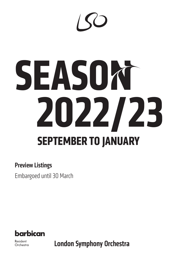# **SEASON 2022/23 SEPTEMBER TO JANUARY**

### Preview Listings

Embargoed until 30 March



Resident Orchestra **London Symphony Orchestra**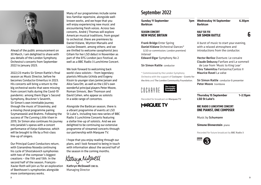

Ahead of the public announcement on 30 March, I am delighted to share with you details of the London Symphony Orchestra's concerts from September 2022 to January 2023.

2022/23 marks Sir Simon Rattle's final season as Music Director, before he becomes Conductor Emeritus in 2023. His concerts will bring a return to the big orchestral works that were missing from concert halls during the Covid-19 pandemic: among them Elgar's Second Symphony, Bruckner's Seventh, Sir Simon's own inimitable journey through the music of Stravinsky, and a moving choral programme pairing Szymanowski and Brahms. Following the success of *The Cunning Little Vixen* in 2019, Sir Simon also continues his journey into Janáček's operas with a concert performance of *Katya Kabanova*, which will be brought to life by a first-class line-up of singers.

Our Principal Guest Conductors return, with Gianandrea Noseda continuing his cycle of Shostakovich symphonies with two of the composer's biggest creations – the 11th and 13th. In the second half of the season, François-Xavier Roth will join us for an exploration of Beethoven's symphonies alongside more contemporary works.

Many of our programmes include some less familiar repertoire, alongside wellknown works, and we hope that you will enjoy experiencing new music and encountering fresh voices. Across two concerts, André J Thomas will explore American musical traditions, from gospel to orchestral; there are premieres by Daniel Kidane, Wynton Marsalis and Louise Drewett, among others; and we are thrilled to welcome saxophonist less Gillam for her LSO debut in November as part of the EFG London Jazz Festival, as well as a BBC Radio 3 Lunchtime Concert.

We look forward to welcoming back world-class soloists – from legendary pianists Mitsuko Uchida and Evgeny Kissin to younger stars Janine Jansen and Alice Sara Ott, as well as the LSO's own wonderful principal players Peter Moore, Roman Simovic, Ben Thomson and David Cohen, who appear as soloists in a wide range of concertos.

Alongside the Barbican season, there is a vibrant programme of events at LSO St Luke's, including two new series of BBC Radio 3 Lunchtime Concerts featuring a stellar line-up of soloists. And we are delighted to be continuing our extensive programme of streamed concerts through our partnership with Marquee TV.

I hope that you enjoy reading through our plans, and I look forward to being in touch with information about the second half of the season in the coming months.

Karmin Mulphell

Kathryn McDowell CBE DL Managing Director

### September 2022

**Sunday 11 September Barbican**

### **SEASON CONCERT NEW MUSIC BRITAIN**

Frank Bridge Enter Spring Daniel Kidane Orchestral Dances\* (LSO co-commission; London premiere) *Interval* Edward Elgar Symphony No 2

#### Sir Simon Rattle conductor

\* Commissioned by the London Symphony Orchestra with the support of Cockayne – Grants for the Arts and The London Community Foundation.



Recorded for broadcast on Marquee TV



**Wednesday 14 September 6.30pm Barbican**

### **HALF SIX FIX SIR SIMON RATTLE**

A burst of music to start your evening, with a relaxed atmosphere and introductions from the conductor.

Hector Berlioz Overture: Le corsaire Claude Debussy Fanfare and Le sommeil de Lear from 'Music to King Lear' Tōru Takemitsu Fantasma/Cantos II Maurice Ravel La valse

Sir Simon Rattle conductor & presenter Peter Moore trombone

**Thursday 15 September 1–2.15pm LSO St Luke's**

### **BBC RADIO 3 LUNCHTIME CONCERT ONE PIANIST, ONE COMPOSER**

Music by Schumann

#### **Simone Dinnerstein** piano

Recorded for future broadcast by BBC Radio 3

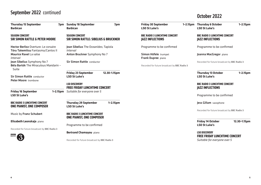# September 2022 continued **Canadian Continued** Continued **Canadian Continued** Continued

| <b>Thursday 15 September</b><br>7pm<br><b>Rarhican</b>                        | <b>Sunday 18 September</b><br><b>Rarhican</b>                            |
|-------------------------------------------------------------------------------|--------------------------------------------------------------------------|
| <b>SEASON CONCERT</b><br><b>SIR SIMON RATTLE &amp; PETER MOORE</b>            | <b>SEASON CONCERT</b><br><b>SIR SIMON RATTLE: SIBELIUS</b>               |
| Hector Berlioz Overture: Le corsaire<br>Tōru Takemitsu Fantasma/Cantos II     | Jean Sibelius The Oceanides;<br>Interval                                 |
| <b>Maurice Ravel La valse</b><br>Interval                                     | Anton Bruckner Symphony N                                                |
| Jean Sibelius Symphony No 7<br>Béla Bartók The Miraculous Mandarin -<br>Suite | <b>Sir Simon Rattle conductor</b>                                        |
| <b>Sir Simon Rattle conductor</b><br>Peter Moore trombone                     | <b>Friday 23 September</b><br><b>LSO St Luke's</b>                       |
|                                                                               | <b>LSO DISCOVERY</b><br><b>FREE FRIDAY LUNCHTIME CON</b>                 |
| <b>Friday 16 September</b><br>1-2.15pm<br><b>LSO St Luke's</b>                | Suitable for everyone over 5                                             |
| <b>BBC RADIO 3 LUNCHTIME CONCERT</b><br><b>ONE PIANIST, ONE COMPOSER</b>      | <b>Thursday 29 September</b><br><b>LSO St Luke's</b>                     |
| Music by Franz Schubert                                                       | <b>BBC RADIO 3 LUNCHTIME CONCERT</b><br><b>ONE PIANIST, ONE COMPOSER</b> |
| Elisabeth Leonskaja piano                                                     |                                                                          |
| Recorded for future broadcast by BBC Radio 3                                  | Programme to be confirmed                                                |
| <b>BBC</b><br>െ                                                               | <b>Bertrand Chamayou piano</b>                                           |



| <b>Sunday 18 September</b><br><b>Barbican</b>                                                | 7pm           | <b>Friday 30 September</b><br><b>LSO St Luke's</b>              | $1 - 2.1$ |
|----------------------------------------------------------------------------------------------|---------------|-----------------------------------------------------------------|-----------|
| <b>SEASON CONCERT</b><br><b>SIR SIMON RATTLE: SIBELIUS &amp; BRUCKNER</b>                    |               | <b>BBC RADIO 3 LUNCHTIME CONCERT</b><br><b>JAZZ INFLECTIONS</b> |           |
| Jean Sibelius The Oceanides; Tapiola<br>Interval                                             |               | Programme to be confirmed                                       |           |
| Anton Bruckner Symphony No 7                                                                 |               | Simon Höfele trumpet<br>Frank Dupree piano                      |           |
| <b>Sir Simon Rattle conductor</b>                                                            |               |                                                                 |           |
|                                                                                              |               | Recorded for future broadcast by BBC Radio 3                    |           |
| <b>Friday 23 September</b><br><b>LSO St Luke's</b>                                           | 12.30-1.15pm  |                                                                 |           |
| <b>LSO DISCOVERY</b><br><b>FREE FRIDAY LUNCHTIME CONCERT</b><br>Suitable for everyone over 5 |               |                                                                 |           |
| <b>Thursday 29 September</b><br><b>LSO St Luke's</b>                                         | $1 - 2.15$ pm |                                                                 |           |
| <b>BBC RADIO 3 LUNCHTIME CONCERT</b><br><b>ONE PIANIST, ONE COMPOSER</b>                     |               |                                                                 |           |
| Programme to be confirmed                                                                    |               |                                                                 |           |
| <b>Bertrand Chamayou piano</b>                                                               |               |                                                                 |           |
| Recorded for future broadcast by BBC Radio 3                                                 |               |                                                                 |           |
|                                                                                              |               |                                                                 |           |

**LSO St Luke's**

**Thursday 6 October 1–2.15pm**

#### **BBC RADIO 3 LUNCHTIME CONCERT JAZZ INFLECTIONS**

Programme to be confirmed

Joanna MacGregor piano

Recorded for future broadcast by BBC Radio 3

**Thursday 13 October 1–2.15pm LSO St Luke's**

### **BBC RADIO 3 LUNCHTIME CONCERT JAZZ INFLECTIONS**

Programme to be confirmed

Jess Gillam saxophone

Recorded for future broadcast by BBC Radio 3

**Friday 14 October 12.30–1.15pm LSO St Luke's**

**LSO DISCOVERY FREE FRIDAY LUNCHTIME CONCERT** *Suitable for everyone over 5*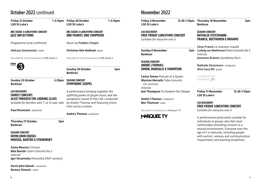### October 2022 continued

| <b>Friday 21 October</b><br><b>LSO St Luke's</b>                                                                                          | $1-2.15$ pm        | <b>Friday 28 October</b><br><b>LSO St Luke's</b>                                                                                                                                         | $1 - 2.15$ pm |
|-------------------------------------------------------------------------------------------------------------------------------------------|--------------------|------------------------------------------------------------------------------------------------------------------------------------------------------------------------------------------|---------------|
| <b>BBC RADIO 3 LUNCHTIME CONCERT</b><br><b>JAZZ INFLECTIONS</b>                                                                           |                    | <b>BBC RADIO 3 LUNCHTIME CONCERT</b><br><b>ONE PIANIST, ONE COMPOSER</b>                                                                                                                 |               |
| Programme to be confirmed                                                                                                                 |                    | Music by Frédéric Chopin                                                                                                                                                                 |               |
| Aleksey Semenenko violin                                                                                                                  |                    | <b>Christian Ihle Hadland piano</b>                                                                                                                                                      |               |
| Recorded for future broadcast by BBC Radio 3                                                                                              |                    | Recorded for future broadcast by BBC Radio 3                                                                                                                                             |               |
| <b>BBC</b><br>Radio                                                                                                                       |                    | <b>Sunday 30 October</b><br><b>Barbican</b>                                                                                                                                              | 7pm           |
| <b>Sunday 23 October</b><br><b>Barbican</b>                                                                                               | 2.30 <sub>pm</sub> | <b>SEASON CONCERT</b><br><b>SYMPHONIC GOSPEL</b>                                                                                                                                         |               |
| <b>LSO DISCOVERY</b><br><b>FAMILY CONCERT:</b><br><b>ALICE THROUGH THE LOOKING GLASS</b><br>Suitable for families with 7- to 12-year-olds |                    | A performance bringing together the<br>uplifting power of gospel music and the<br>symphonic sound of the LSO, conducted<br>by André J Thomas and featuring choirs<br>from across London. |               |
| Paul Rissmann presenter                                                                                                                   |                    | <b>André J Thomas</b> conductor                                                                                                                                                          |               |
| <b>Thursday 27 October</b><br><b>Barbican</b>                                                                                             | 7pm                |                                                                                                                                                                                          |               |

### **SEASON CONCERT KEVIN JOHN EDUSEI: MOUSSA, BARTÓK & STRAVINSKY**

**Samy Moussa** Crimson **Béla Bartók** Violin Concerto No 2 *Interval* **Igor Stravinsky** Petrushka (1947 version)

**Kevin John Edusei** conductor **Roman Simovic** violin

### November 2022

**Friday 4 November LSO St Luke's**

**Barbican**

**Thursday 10 November 7pm**

### **SEASON CONCERT NATHALIE STUTZMANN: FRANCK, BEETHOVEN & BRAHMS**

César Franck Le chasseur maudit **7pm** Ludwig van Beethoven Piano Concerto No 3 *Interval* Johannes Brahms Symphony No 4

> Nathalie Stutzmann conductor Alice Sara Ott piano

RECOMMENDED BY CLASSIC  $f_M$ 

**Friday 11 November 12.30–1.15pm LSO St Luke's**

### **LSO DISCOVERY FREE FRIDAY LUNCHTIME CONCERT** *Suitable for everyone over 5*

A performance particularly suitable for individuals or groups who feel more comfortable attending concerts in a relaxed environment. Everyone over the age of 5 is welcome, including people with autism, sensory and communication impairments and learning disabilities.

**LSO DISCOVERY FREE FRIDAY LUNCHTIME CONCERT** *Suitable for everyone over 5*

**Sunday 6 November Barbican**

### **SEASON CONCERT ANDRÉ J THOMAS: SIMON, MARSALIS & THOMPSON**

**Carlos Simon** Portrait of a Queen **Wynton Marsalis** Tuba Concerto (UK premiere) *Interval* **Joel Thompson** To Awaken the Sleeper

**André J Thomas** conductor **Ben Thomson** tuba

Recorded for broadcast on Marquee TV

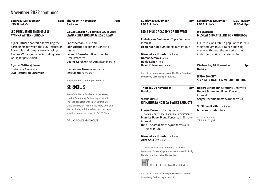### November 2022 continued

**Saturday 12 November LSO St Luke's**

### **LSO PERCUSSION ENSEMBLE & AYANNA WITTER-JOHNSON**

A jazz-infused concert showcasing the partnership between the LSO Percussion Ensemble and composer-cellist-singer Ayanna Witter-Johnson, including new works for percussion.

Ayanna Witter-Johnson cello, voice & composer

LSO Percussion Ensemble

## **Barbican**

**Thursday 17 November 7pm**

### **SEASON CONCERT / EFG LONDON JAZZ FESTIVAL GIANANDREA NOSEDA & JESS GILLAM**

Carlos Simon This Land John Adams Saxophone Concerto *Interval* Leonard Bernstein Divertimento for Orchestra George Gershwin An American in Paris

Gianandrea Noseda conductor Jess Gillam saxophone

Part of the EFG London Jazz Festival

### **SERIOUS**

Part of the Music Academy of the West/ London Symphony Orchestra partnership. The lead sponsors of the partnership are Linda and Michael Keston and Mary Lynn and Warren Staley. Additional support has been provided in remembrance of Léni Fé Bland.

### **MUSIC ACADEMY & WEST**

**Sunday 20 November LSO St Luke's** 

### **LSO & MUSIC ACADEMY OF THE WEST**

Ludwig van Beethoven Triple Concerto *Interval* Hector Berlioz Symphonie fantastique

Gianandrea Noseda conductor Roman Simovic violin David Cohen cello Pavel Kolesnikov piano

Part of the Music Academy of the West/London Symphony Orchestra partnership.

**Thursday 24 November Barbican**

### **SEASON CONCERT GIANANDREA NOSEDA & ALICE SARA OTT**

Louise Drewett The Daymark (world premiere, LSO Panufnik commission)\* Maurice Ravel Piano Concerto in G major *Interval*

Dmitri Shostakovich Symphony No 11, 'The Year 1905'

Gianandrea Noseda conductor Alice Sara Ott piano

\* Commissioned through the LSO Panufnik Composers Scheme, generously supported by Lady Hamlyn and The Helen Hamyn Trust.



Part of the Music Academy of the West/London Symphony Orchestra partnership.

**Saturday 26 November 10.30–11.15am LSO St Luke's 12.30–1.15pm**

### **LSO DISCOVERY MUSICAL STORYTELLING FOR UNDER-5S**

LSO musicians retell a popular children's story through music. Dance and sing your way through the concert as the instruments bring the tale to life.

**Wednesday 30 November 7pm Barbican**

### **SEASON CONCERT SIR SIMON RATTLE & MITSUKO UCHIDA**

**7pm** Robert Schumann Overture: Genoveva Robert Schumann Piano Concerto *Interval* Sergei Rachmaninoff Symphony No 3

> Sir Simon Rattle conductor Mitsuko Uchida piano

RECOMMENDED BY CLASSIC  $f_M$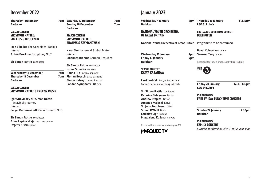### December 2022

| <b>Thursday 1 December</b><br><b>Barbican</b>                                       | 7pm | <b>Saturday 17 December</b><br><b>Sunday 18 December</b><br><b>Barbican</b>          | 7<br>7 |
|-------------------------------------------------------------------------------------|-----|--------------------------------------------------------------------------------------|--------|
| <b>SEASON CONCERT</b><br><b>SIR SIMON RATTLE:</b><br><b>SIBELIUS &amp; BRUCKNER</b> |     | <b>SEASON CONCERT</b><br><b>SIR SIMON RATTLE:</b><br><b>BRAHMS &amp; SZYMANOWSKI</b> |        |
| Jean Sibelius The Oceanides; Tapiola                                                |     |                                                                                      |        |
| Interval                                                                            |     | Karol Szymanowski Stabat Mater                                                       |        |
| Anton Bruckner Symphony No 7                                                        |     | Interval                                                                             |        |
|                                                                                     |     | Johannes Brahms German Requiem                                                       |        |
| <b>Sir Simon Rattle conductor</b>                                                   |     |                                                                                      |        |
|                                                                                     |     | <b>Sir Simon Rattle conductor</b>                                                    |        |
|                                                                                     |     | Iwona Sobotka soprano                                                                |        |
| <b>Wednesday 14 December</b>                                                        | 7pm | Hanna Hip mezzo-soprano                                                              |        |
| <b>Thursday 15 December</b>                                                         | 7pm | Florian Boesch bass-baritone                                                         |        |
| <b>Barbican</b>                                                                     |     | <b>Simon Halsey</b> chorus director                                                  |        |
|                                                                                     |     | <b>London Symphony Chorus</b>                                                        |        |
| <b>SEASON CONCERT</b><br>SIR SIMON RATTLE & EVGENY KISSIN                           |     |                                                                                      |        |

Igor Stravinsky arr Simon Rattle Stravinsky Journey *Interval* Sergei Rachmaninoff Piano Concerto No 3

Sir Simon Rattle conductor Anna Lapkovskaja mezzo-soprano Evgeny Kissin piano

| <b>Saturday 17 December</b><br><b>Sunday 18 December</b><br><b>Barbican</b>          | 7pm<br>7pm |
|--------------------------------------------------------------------------------------|------------|
| <b>SEASON CONCERT</b><br><b>SIR SIMON RATTLE:</b><br><b>BRAHMS &amp; SZYMANOWSKI</b> |            |
| <b>Karol Szymanowski Stabat Mater</b><br>Interval                                    |            |
| Johannes Brahms German Requiem                                                       |            |
| <b>Sir Simon Rattle conductor</b>                                                    |            |
| <b>Iwona Sobotka</b> soprano                                                         |            |
| Hanna Hip mezzo-soprano                                                              |            |
| <b>Florian Boesch</b> bass-baritone                                                  |            |
| Simon Halsey chorus director                                                         |            |
| <b>London Symphony Chorus</b>                                                        |            |

### January 2023

**Wednesday 4 January Barbican**

**Wednesday 11 January** 

**Barbican**

**SEASON CONCERT KATYA KABANOVA**

**NATIONAL YOUTH ORCHESTRA OF GREAT BRITAIN**

Leoš Janáček Katya Kabanova Concert performance; sung in Czech

Sir Simon Rattle conductor Katarina Dalayman Marfa Andrew Staples Tichon Amanda Majeski Katya Sir John Tomlinson Dikoj Simon O'Neill Boris Ladislav Elgr Kudrjas Magdalena Kožená Varvara

Recorded for broadcast on Marquee TV

**MARQUEE TV** 

National Youth Orchestra of Great Britain Programme to be confirmed

**Friday 13 January 7pm**

Pavel Kolesnikov piano

**LSO St Luke's**

**BEETHOVEN**

**7pm** Samson Tsoy piano

Recorded for future broadcast by BBC Radio 3

**Thursday 19 January 1–2.15pm**

**BBC RADIO 3 LUNCHTIME CONCERT**



**Friday 20 January 12.30–1.15pm LSO St Luke's**

### **LSO DISCOVERY FREE FRIDAY LUNCHTIME CONCERT**

**Sunday 22 January 2.30pm Barbican**

**LSO DISCOVERY FAMILY CONCERT** *Suitable for families with 7- to 12-year-olds*

**10**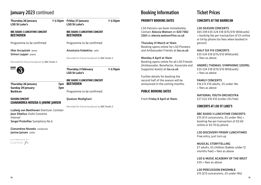### January 2023 continued

| <b>Thursday 26 January</b><br><b>LSO St Luke's</b>       | 1–2.15pm | <b>Friday 27 January</b><br><b>LSO St Luke's</b>         | $1 - 2.15$ pm |
|----------------------------------------------------------|----------|----------------------------------------------------------|---------------|
| <b>BBC RADIO 3 LUNCHTIME CONCERT</b><br><b>BEETHOVEN</b> |          | <b>BBC RADIO 3 LUNCHTIME CONCERT</b><br><b>BEETHOVEN</b> |               |
| Programme to be confirmed                                |          | Programme to be confirmed                                |               |
| <b>Ilker Arcayürek</b> tenor<br>Simon Lepper piano       |          | Anastasia Kobekina cello                                 |               |
| Recorded for future broadcast by BBC Radio 3             |          | Recorded for future broadcast by BBC Radio 3             |               |
| <b>BBC</b><br>Radio                                      |          | <b>Thursday 2 February</b><br><b>LSO St Luke's</b>       | $1 - 2.15$ pm |
| <b>Thursday 26 January</b>                               | 7pm      | <b>BBC RADIO 3 LUNCHTIME CONCERT</b><br><b>BEETHOVEN</b> |               |
| <b>Sunday 29 January</b><br><b>Barbican</b>              | 7pm      | Programme to be confirmed                                |               |

Quatuor Modigliani

Recorded for future broadcast by BBC Radio 3

### **SEASON CONCERT GIANANDREA NOSEDA & JANINE JANSEN**

Ludwig van Beethoven Overture: Coriolan Jean Sibelius Violin Concerto *Interval* Sergei Prokofiev Symphony No 6

Gianandrea Noseda conductor Janine Jansen violin

RECOMMENDED BY CLASSIC  $f_M$ 

### Booking Information

### **PRIORITY BOOKING DATES**

LSO Patrons can book immediately. Contact Alessia Watson on 020 7382 2563 or alessia.watson@lso.co.uk

Thursday 31 March at 10am Booking opens online for LSO Pioneers and Ambassador Friends at Iso.co.uk

Monday 4 April at 10am Booking opens online for all LSO Friends (Ambassador, Benefactor, Associate and Supporter levels) at lso.co.uk

Further details for booking the second half of the season will be announced in the coming months.

### **PUBLIC BOOKING DATES**

From Friday 8 April at 10am.

### Ticket Prices

### **CONCERTS AT THE BARBICAN**

#### LSO SEASON CONCERTS

£65 £49 £35 £24 £18 (£15/£10 Wildcards) + booking fee per transaction of £3 online or £4 by phone (no fees when booked in person)

HALF SIX FIX CONCERTS £35 £24 £18 (£15/£10 Wildcards) + fees as above

ANDRÉ J THOMAS: SYMPHONIC GOSPEL £35 £24 £18 (£15/£10 Wildcards) + fees as above

FAMILY CONCERTS £16 £12 £10 adults, £5 under-18s  $+$  fees as above

NATIONAL YOUTH ORCHESTRA £27 £22 £16 £10 (under-25s free)

### **CONCERTS AT LSO ST LUKE'S**

#### BBC RADIO 3 LUNCHTIME CONCERTS

£15 (£13 concessions, £5 under-18s) + booking fee per transaction of £0.60 online or £0.70 by phone

LSO DISCOVERY FRIDAY LUNCHTIMES Free entry, just turn up

MUSICAL STORYTELLING £7 adults, £5 children (babies under 12 months free) + fees as above

LSO & MUSIC ACADEMY OF THE WEST £35 + fees as above

LSO PERCUSSION ENSEMBLE £15 (£13 concessions, £5 under-18s)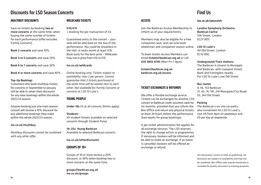### Discounts for LSO Season Concerts

### **MULTIBUY DISCOUNTS**

Save on tickets by booking two or more concerts at the same time, when buying the same number of tickets for each performance (offer excludes Family Concerts).

Book 2 concerts and save 10%

Book 3 to 5 concerts and save 20%

Book 6 to 7 concerts and save 30%

Book 8 or more concerts and save 40%

#### Top-Up Bookings

Customers who book multibuy tickets for concerts in September to January will be able to retain their discounts for any later bookings within the whole 2022/23 season.

Anyone booking just one main season concert will receive a 10% discount for any additional bookings they make within the whole 2022/23 season.

### lso.co.uk/multibuy

*Multibuy discounts cannot be combined with any other offer.* 

### **WILDCARD TICKETS**

#### £10/£15

+ booking fee per transaction of £3.

Guaranteed entry to the concert – your seat will be allocated on the day of the performance. You could be anywhere in the Hall, in seats worth at least £18. Book early for the best price – Wildcards may rise in price from £10 to £15.

#### lso.co.uk/wildcards

*Online booking only. Tickets subject to availability, max 2 per person. Cannot guarantee that 2 tickets purchased at the same time will be seated next to each other. Not available for Family Concerts or concerts at LSO St Luke's.*

### **YOUNG PEOPLE**

Under-18s £5 at all concerts (limits apply).

#### **Students**

£9 student tickets available on selected concerts through Student Pulse.

14–25s: Young Barbican Available to selected Barbican concerts.

lso.co.uk/otherdiscounts

### **GROUPS OF 10+**

Groups of 10 or more receive a 20% discount, or 30% when booking two or more concerts at the same time.

groups@barbican.org.uk lso.co.uk/groups

### Find Us

### **ACCESS**

Join the Barbican Access Membership to inform us of your requirements.

Members may also be eligible for a free companion seat, and can now book wheelchair and companion season online. LSO St Luke's

To book tickets Access Members can email tickets@barbican.org.uk or call 020 3855 4745 (Mon-Fri 1-4pm).

tickets@barbican.org.uk barbican.org.uk/access

### **TICKET EXCHANGES & REFUNDS**

We offer a flexible exchange service. Tickets can be exchanged for another LSO concert or Barbican credit vouchers valid for six months, provided that you inform the Box Office and return any physical tickets at least 24 hours before the performance (two weeks for group bookings).

A per-ticket administration fee applies for all exchange services. The LSO reserves the right to change artists or programmes if necessary; bookers will be informed and be able to make an exchange. If an event is cancelled, bookers will be offered an exchange or refund.

#### lso.co.uk/yourvisit

London Symphony Orchestra Barbican Centre Silk Street, London EC2Y 8DS

161 Old Street, London EC1V 9NG

Underground/Train stations The Barbican is closest to Moorgate and Barbican, with Liverpool Street, Bank and Farringdon nearby. For LSO St Luke's use Old Street.

#### Bus routes

4, 56, 153 Barbican; 21, 43, 76, 141, 214 Moorgate/City Road; 55, 243 Old Street.

### Parking

The Barbican's on-site car parks, also convenient for LSO St Luke's, cost £9 from 4pm on weekdays and £9 per day at weekends.

All information correct at time of publishing. All discounts are subject to availability and may not be combined. Box Office calls may be monitored or recorded for quality assurance or training purposes.